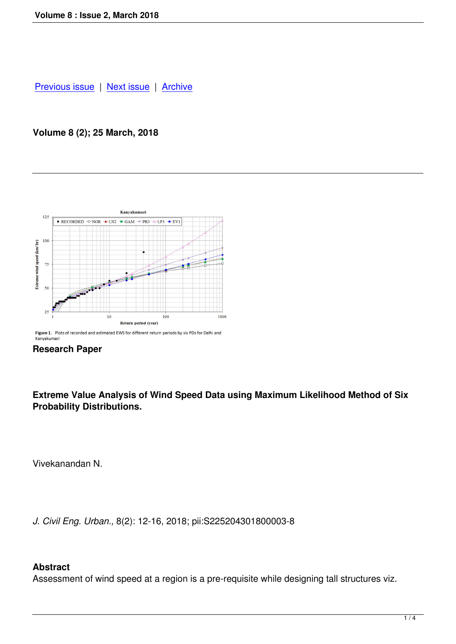### **[Volume 8 \(2\); 2](index.php?option=com_content&view=article&id=62&Itemid=64)5 [March, 201](index.php?option=com_content&view=article&id=64&Itemid=68)8**



Figure 1. Plots of recorded and estimated EWS for different return periods by six PDs for Delhi and Kanyakumari



**Extreme Value Analysis of Wind Speed Data using Maximum Likelihood Method of Six Probability Distributions.** 

Vivekanandan N.

*J. Civil Eng. Urban.,* 8(2): 12-16, 2018; pii:S225204301800003-8

### **Abstract**

Assessment of wind speed at a region is a pre-requisite while designing tall structures viz.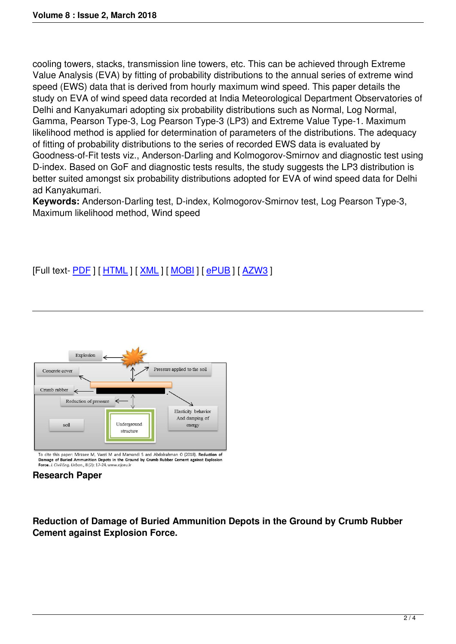cooling towers, stacks, transmission line towers, etc. This can be achieved through Extreme Value Analysis (EVA) by fitting of probability distributions to the annual series of extreme wind speed (EWS) data that is derived from hourly maximum wind speed. This paper details the study on EVA of wind speed data recorded at India Meteorological Department Observatories of Delhi and Kanyakumari adopting six probability distributions such as Normal, Log Normal, Gamma, Pearson Type-3, Log Pearson Type-3 (LP3) and Extreme Value Type-1. Maximum likelihood method is applied for determination of parameters of the distributions. The adequacy of fitting of probability distributions to the series of recorded EWS data is evaluated by Goodness-of-Fit tests viz., Anderson-Darling and Kolmogorov-Smirnov and diagnostic test using D-index. Based on GoF and diagnostic tests results, the study suggests the LP3 distribution is better suited amongst six probability distributions adopted for EVA of wind speed data for Delhi ad Kanyakumari.

**Keywords:** Anderson-Darling test, D-index, Kolmogorov-Smirnov test, Log Pearson Type-3, Maximum likelihood method, Wind speed

# [Full text- PDF ] [ HTML ] [ XML ] [ MOBI ] [ ePUB ] [ AZW3 ]



Damage of Buried Ammunition Depots in the Ground by Crumb Rubber Cement against Explosion Force. J. Civil Eng. Urban., 8 (2): 17-24. www.ojceu.ir

### **Research Paper**

**Reduction of Damage of Buried Ammunition Depots in the Ground by Crumb Rubber Cement against Explosion Force.**